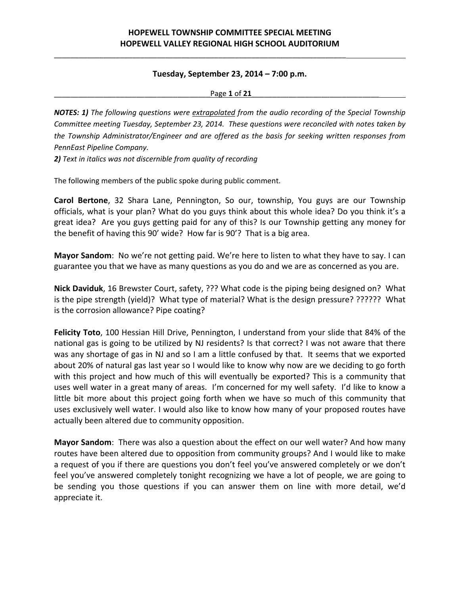\_\_\_\_\_\_\_\_\_\_\_\_\_\_\_\_\_\_\_\_\_\_\_\_\_\_\_\_\_\_\_\_\_\_\_\_\_\_\_\_\_\_\_\_\_\_\_\_\_\_\_\_\_\_\_\_\_\_\_\_\_\_\_\_\_\_\_\_\_\_\_

### **Tuesday, September 23, 2014 – 7:00 p.m.**

\_\_\_\_\_\_\_\_\_\_\_\_\_\_\_\_\_\_\_\_\_\_\_\_\_\_\_\_\_\_\_\_\_\_\_\_\_\_Page **1** of **21**\_\_\_\_\_\_\_\_\_\_\_\_\_\_\_\_\_\_\_\_\_\_\_\_\_\_\_\_\_\_\_

*NOTES: 1) The following questions were extrapolated from the audio recording of the Special Township Committee meeting Tuesday, September 23, 2014. These questions were reconciled with notes taken by the Township Administrator/Engineer and are offered as the basis for seeking written responses from PennEast Pipeline Company.*

*2) Text in italics was not discernible from quality of recording*

The following members of the public spoke during public comment.

**Carol Bertone**, 32 Shara Lane, Pennington, So our, township, You guys are our Township officials, what is your plan? What do you guys think about this whole idea? Do you think it's a great idea? Are you guys getting paid for any of this? Is our Township getting any money for the benefit of having this 90' wide? How far is 90'? That is a big area.

**Mayor Sandom**: No we're not getting paid. We're here to listen to what they have to say. I can guarantee you that we have as many questions as you do and we are as concerned as you are.

**Nick Daviduk**, 16 Brewster Court, safety, ??? What code is the piping being designed on? What is the pipe strength (yield)? What type of material? What is the design pressure? ?????? What is the corrosion allowance? Pipe coating?

**Felicity Toto**, 100 Hessian Hill Drive, Pennington, I understand from your slide that 84% of the national gas is going to be utilized by NJ residents? Is that correct? I was not aware that there was any shortage of gas in NJ and so I am a little confused by that. It seems that we exported about 20% of natural gas last year so I would like to know why now are we deciding to go forth with this project and how much of this will eventually be exported? This is a community that uses well water in a great many of areas. I'm concerned for my well safety. I'd like to know a little bit more about this project going forth when we have so much of this community that uses exclusively well water. I would also like to know how many of your proposed routes have actually been altered due to community opposition.

**Mayor Sandom**: There was also a question about the effect on our well water? And how many routes have been altered due to opposition from community groups? And I would like to make a request of you if there are questions you don't feel you've answered completely or we don't feel you've answered completely tonight recognizing we have a lot of people, we are going to be sending you those questions if you can answer them on line with more detail, we'd appreciate it.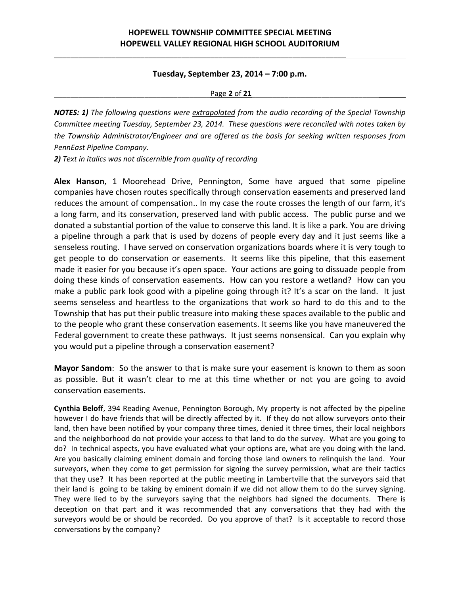\_\_\_\_\_\_\_\_\_\_\_\_\_\_\_\_\_\_\_\_\_\_\_\_\_\_\_\_\_\_\_\_\_\_\_\_\_\_\_\_\_\_\_\_\_\_\_\_\_\_\_\_\_\_\_\_\_\_\_\_\_\_\_\_\_\_\_\_\_\_\_

### **Tuesday, September 23, 2014 – 7:00 p.m.**

\_\_\_\_\_\_\_\_\_\_\_\_\_\_\_\_\_\_\_\_\_\_\_\_\_\_\_\_\_\_\_\_\_\_\_\_\_\_Page **2** of **21**\_\_\_\_\_\_\_\_\_\_\_\_\_\_\_\_\_\_\_\_\_\_\_\_\_\_\_\_\_\_\_

*NOTES: 1) The following questions were extrapolated from the audio recording of the Special Township Committee meeting Tuesday, September 23, 2014. These questions were reconciled with notes taken by the Township Administrator/Engineer and are offered as the basis for seeking written responses from PennEast Pipeline Company.*

*2) Text in italics was not discernible from quality of recording*

**Alex Hanson**, 1 Moorehead Drive, Pennington, Some have argued that some pipeline companies have chosen routes specifically through conservation easements and preserved land reduces the amount of compensation.. In my case the route crosses the length of our farm, it's a long farm, and its conservation, preserved land with public access. The public purse and we donated a substantial portion of the value to conserve this land. It is like a park. You are driving a pipeline through a park that is used by dozens of people every day and it just seems like a senseless routing. I have served on conservation organizations boards where it is very tough to get people to do conservation or easements. It seems like this pipeline, that this easement made it easier for you because it's open space. Your actions are going to dissuade people from doing these kinds of conservation easements. How can you restore a wetland? How can you make a public park look good with a pipeline going through it? It's a scar on the land. It just seems senseless and heartless to the organizations that work so hard to do this and to the Township that has put their public treasure into making these spaces available to the public and to the people who grant these conservation easements. It seems like you have maneuvered the Federal government to create these pathways. It just seems nonsensical. Can you explain why you would put a pipeline through a conservation easement?

**Mayor Sandom**: So the answer to that is make sure your easement is known to them as soon as possible. But it wasn't clear to me at this time whether or not you are going to avoid conservation easements.

**Cynthia Beloff**, 394 Reading Avenue, Pennington Borough, My property is not affected by the pipeline however I do have friends that will be directly affected by it. If they do not allow surveyors onto their land, then have been notified by your company three times, denied it three times, their local neighbors and the neighborhood do not provide your access to that land to do the survey. What are you going to do? In technical aspects, you have evaluated what your options are, what are you doing with the land. Are you basically claiming eminent domain and forcing those land owners to relinquish the land. Your surveyors, when they come to get permission for signing the survey permission, what are their tactics that they use? It has been reported at the public meeting in Lambertville that the surveyors said that their land is going to be taking by eminent domain if we did not allow them to do the survey signing. They were lied to by the surveyors saying that the neighbors had signed the documents. There is deception on that part and it was recommended that any conversations that they had with the surveyors would be or should be recorded. Do you approve of that? Is it acceptable to record those conversations by the company?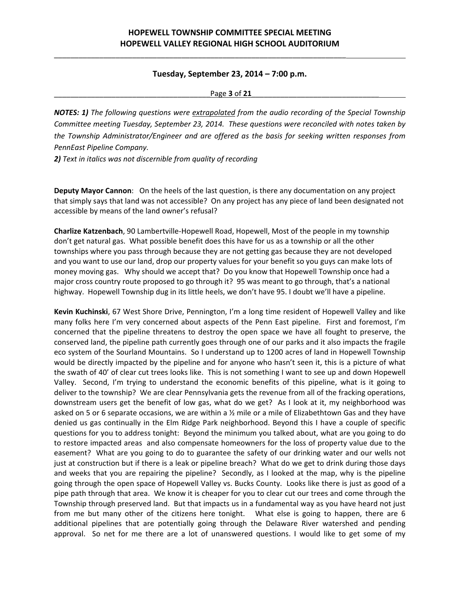\_\_\_\_\_\_\_\_\_\_\_\_\_\_\_\_\_\_\_\_\_\_\_\_\_\_\_\_\_\_\_\_\_\_\_\_\_\_\_\_\_\_\_\_\_\_\_\_\_\_\_\_\_\_\_\_\_\_\_\_\_\_\_\_\_\_\_\_\_\_\_

### **Tuesday, September 23, 2014 – 7:00 p.m.**

\_\_\_\_\_\_\_\_\_\_\_\_\_\_\_\_\_\_\_\_\_\_\_\_\_\_\_\_\_\_\_\_\_\_\_\_\_\_Page **3** of **21**\_\_\_\_\_\_\_\_\_\_\_\_\_\_\_\_\_\_\_\_\_\_\_\_\_\_\_\_\_\_\_

*NOTES: 1) The following questions were extrapolated from the audio recording of the Special Township Committee meeting Tuesday, September 23, 2014. These questions were reconciled with notes taken by the Township Administrator/Engineer and are offered as the basis for seeking written responses from PennEast Pipeline Company.*

*2) Text in italics was not discernible from quality of recording*

**Deputy Mayor Cannon**: On the heels of the last question, is there any documentation on any project that simply says that land was not accessible? On any project has any piece of land been designated not accessible by means of the land owner's refusal?

**Charlize Katzenbach**, 90 Lambertville‐Hopewell Road, Hopewell, Most of the people in my township don't get natural gas. What possible benefit does this have for us as a township or all the other townships where you pass through because they are not getting gas because they are not developed and you want to use our land, drop our property values for your benefit so you guys can make lots of money moving gas. Why should we accept that? Do you know that Hopewell Township once had a major cross country route proposed to go through it? 95 was meant to go through, that's a national highway. Hopewell Township dug in its little heels, we don't have 95. I doubt we'll have a pipeline.

**Kevin Kuchinski**, 67 West Shore Drive, Pennington, I'm a long time resident of Hopewell Valley and like many folks here I'm very concerned about aspects of the Penn East pipeline. First and foremost, I'm concerned that the pipeline threatens to destroy the open space we have all fought to preserve, the conserved land, the pipeline path currently goes through one of our parks and it also impacts the fragile eco system of the Sourland Mountains. So I understand up to 1200 acres of land in Hopewell Township would be directly impacted by the pipeline and for anyone who hasn't seen it, this is a picture of what the swath of 40' of clear cut trees looks like. This is not something I want to see up and down Hopewell Valley. Second, I'm trying to understand the economic benefits of this pipeline, what is it going to deliver to the township? We are clear Pennsylvania gets the revenue from all of the fracking operations, downstream users get the benefit of low gas, what do we get? As I look at it, my neighborhood was asked on 5 or 6 separate occasions, we are within a  $\frac{1}{2}$  mile or a mile of Elizabethtown Gas and they have denied us gas continually in the Elm Ridge Park neighborhood. Beyond this I have a couple of specific questions for you to address tonight: Beyond the minimum you talked about, what are you going to do to restore impacted areas and also compensate homeowners for the loss of property value due to the easement? What are you going to do to guarantee the safety of our drinking water and our wells not just at construction but if there is a leak or pipeline breach? What do we get to drink during those days and weeks that you are repairing the pipeline? Secondly, as I looked at the map, why is the pipeline going through the open space of Hopewell Valley vs. Bucks County. Looks like there is just as good of a pipe path through that area. We know it is cheaper for you to clear cut our trees and come through the Township through preserved land. But that impacts us in a fundamental way as you have heard not just from me but many other of the citizens here tonight. What else is going to happen, there are 6 additional pipelines that are potentially going through the Delaware River watershed and pending approval. So net for me there are a lot of unanswered questions. I would like to get some of my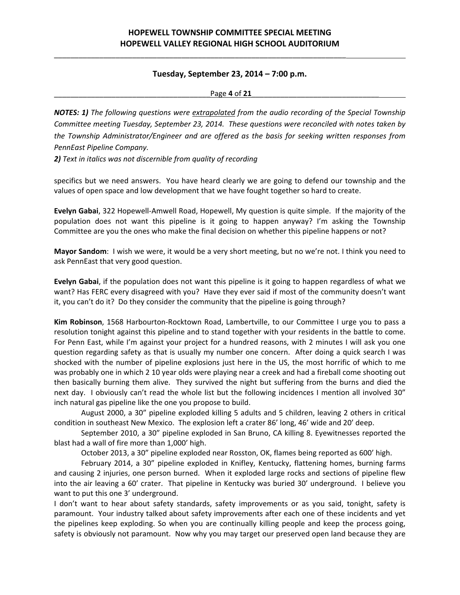\_\_\_\_\_\_\_\_\_\_\_\_\_\_\_\_\_\_\_\_\_\_\_\_\_\_\_\_\_\_\_\_\_\_\_\_\_\_\_\_\_\_\_\_\_\_\_\_\_\_\_\_\_\_\_\_\_\_\_\_\_\_\_\_\_\_\_\_\_\_\_

### **Tuesday, September 23, 2014 – 7:00 p.m.**

#### \_\_\_\_\_\_\_\_\_\_\_\_\_\_\_\_\_\_\_\_\_\_\_\_\_\_\_\_\_\_\_\_\_\_\_\_\_\_Page **4** of **21**\_\_\_\_\_\_\_\_\_\_\_\_\_\_\_\_\_\_\_\_\_\_\_\_\_\_\_\_\_\_\_

*NOTES: 1) The following questions were extrapolated from the audio recording of the Special Township Committee meeting Tuesday, September 23, 2014. These questions were reconciled with notes taken by the Township Administrator/Engineer and are offered as the basis for seeking written responses from PennEast Pipeline Company.*

*2) Text in italics was not discernible from quality of recording*

specifics but we need answers. You have heard clearly we are going to defend our township and the values of open space and low development that we have fought together so hard to create.

**Evelyn Gabai**, 322 Hopewell‐Amwell Road, Hopewell, My question is quite simple. If the majority of the population does not want this pipeline is it going to happen anyway? I'm asking the Township Committee are you the ones who make the final decision on whether this pipeline happens or not?

**Mayor Sandom**: I wish we were, it would be a very short meeting, but no we're not. I think you need to ask PennEast that very good question.

**Evelyn Gabai**, if the population does not want this pipeline is it going to happen regardless of what we want? Has FERC every disagreed with you? Have they ever said if most of the community doesn't want it, you can't do it? Do they consider the community that the pipeline is going through?

**Kim Robinson**, 1568 Harbourton‐Rocktown Road, Lambertville, to our Committee I urge you to pass a resolution tonight against this pipeline and to stand together with your residents in the battle to come. For Penn East, while I'm against your project for a hundred reasons, with 2 minutes I will ask you one question regarding safety as that is usually my number one concern. After doing a quick search I was shocked with the number of pipeline explosions just here in the US, the most horrific of which to me was probably one in which 2 10 year olds were playing near a creek and had a fireball come shooting out then basically burning them alive. They survived the night but suffering from the burns and died the next day. I obviously can't read the whole list but the following incidences I mention all involved 30" inch natural gas pipeline like the one you propose to build.

August 2000, a 30" pipeline exploded killing 5 adults and 5 children, leaving 2 others in critical condition in southeast New Mexico. The explosion left a crater 86' long, 46' wide and 20' deep.

September 2010, a 30" pipeline exploded in San Bruno, CA killing 8. Eyewitnesses reported the blast had a wall of fire more than 1,000' high.

October 2013, a 30" pipeline exploded near Rosston, OK, flames being reported as 600' high.

February 2014, a 30" pipeline exploded in Knifley, Kentucky, flattening homes, burning farms and causing 2 injuries, one person burned. When it exploded large rocks and sections of pipeline flew into the air leaving a 60' crater. That pipeline in Kentucky was buried 30' underground. I believe you want to put this one 3' underground.

I don't want to hear about safety standards, safety improvements or as you said, tonight, safety is paramount. Your industry talked about safety improvements after each one of these incidents and yet the pipelines keep exploding. So when you are continually killing people and keep the process going, safety is obviously not paramount. Now why you may target our preserved open land because they are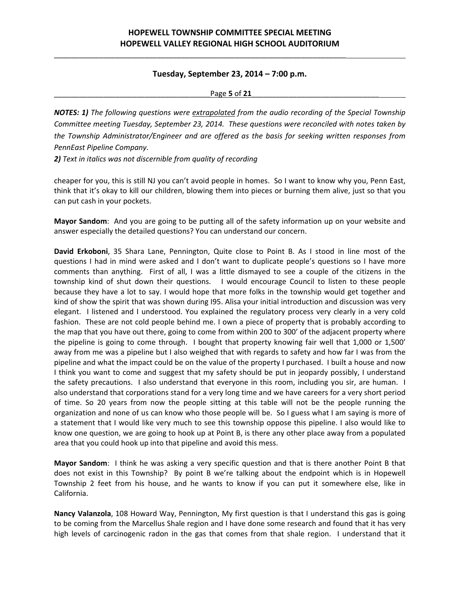\_\_\_\_\_\_\_\_\_\_\_\_\_\_\_\_\_\_\_\_\_\_\_\_\_\_\_\_\_\_\_\_\_\_\_\_\_\_\_\_\_\_\_\_\_\_\_\_\_\_\_\_\_\_\_\_\_\_\_\_\_\_\_\_\_\_\_\_\_\_\_

### **Tuesday, September 23, 2014 – 7:00 p.m.**

\_\_\_\_\_\_\_\_\_\_\_\_\_\_\_\_\_\_\_\_\_\_\_\_\_\_\_\_\_\_\_\_\_\_\_\_\_\_Page **5** of **21**\_\_\_\_\_\_\_\_\_\_\_\_\_\_\_\_\_\_\_\_\_\_\_\_\_\_\_\_\_\_\_

*NOTES: 1) The following questions were extrapolated from the audio recording of the Special Township Committee meeting Tuesday, September 23, 2014. These questions were reconciled with notes taken by the Township Administrator/Engineer and are offered as the basis for seeking written responses from PennEast Pipeline Company.*

*2) Text in italics was not discernible from quality of recording*

cheaper for you, this is still NJ you can't avoid people in homes. So I want to know why you, Penn East, think that it's okay to kill our children, blowing them into pieces or burning them alive, just so that you can put cash in your pockets.

**Mayor Sandom**: And you are going to be putting all of the safety information up on your website and answer especially the detailed questions? You can understand our concern.

**David Erkoboni**, 35 Shara Lane, Pennington, Quite close to Point B. As I stood in line most of the questions I had in mind were asked and I don't want to duplicate people's questions so I have more comments than anything. First of all, I was a little dismayed to see a couple of the citizens in the township kind of shut down their questions. I would encourage Council to listen to these people because they have a lot to say. I would hope that more folks in the township would get together and kind of show the spirit that was shown during I95. Alisa your initial introduction and discussion was very elegant. I listened and I understood. You explained the regulatory process very clearly in a very cold fashion. These are not cold people behind me. I own a piece of property that is probably according to the map that you have out there, going to come from within 200 to 300' of the adjacent property where the pipeline is going to come through. I bought that property knowing fair well that 1,000 or 1,500' away from me was a pipeline but I also weighed that with regards to safety and how far I was from the pipeline and what the impact could be on the value of the property I purchased. I built a house and now I think you want to come and suggest that my safety should be put in jeopardy possibly, I understand the safety precautions. I also understand that everyone in this room, including you sir, are human. I also understand that corporations stand for a very long time and we have careers for a very short period of time. So 20 years from now the people sitting at this table will not be the people running the organization and none of us can know who those people will be. So I guess what I am saying is more of a statement that I would like very much to see this township oppose this pipeline. I also would like to know one question, we are going to hook up at Point B, is there any other place away from a populated area that you could hook up into that pipeline and avoid this mess.

**Mayor Sandom**: I think he was asking a very specific question and that is there another Point B that does not exist in this Township? By point B we're talking about the endpoint which is in Hopewell Township 2 feet from his house, and he wants to know if you can put it somewhere else, like in California.

**Nancy Valanzola**, 108 Howard Way, Pennington, My first question is that I understand this gas is going to be coming from the Marcellus Shale region and I have done some research and found that it has very high levels of carcinogenic radon in the gas that comes from that shale region. I understand that it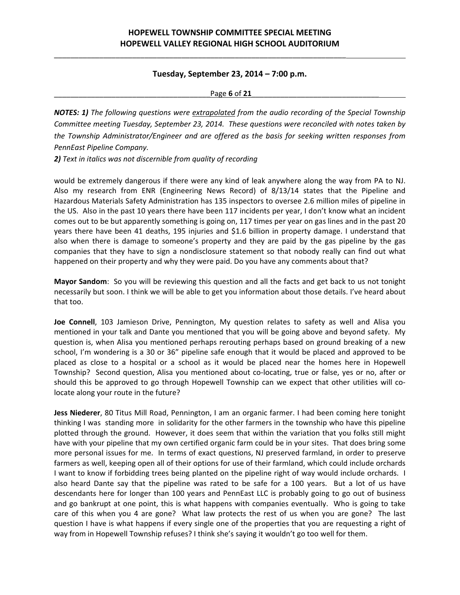\_\_\_\_\_\_\_\_\_\_\_\_\_\_\_\_\_\_\_\_\_\_\_\_\_\_\_\_\_\_\_\_\_\_\_\_\_\_\_\_\_\_\_\_\_\_\_\_\_\_\_\_\_\_\_\_\_\_\_\_\_\_\_\_\_\_\_\_\_\_\_

### **Tuesday, September 23, 2014 – 7:00 p.m.**

\_\_\_\_\_\_\_\_\_\_\_\_\_\_\_\_\_\_\_\_\_\_\_\_\_\_\_\_\_\_\_\_\_\_\_\_\_\_Page **6** of **21**\_\_\_\_\_\_\_\_\_\_\_\_\_\_\_\_\_\_\_\_\_\_\_\_\_\_\_\_\_\_\_

*NOTES: 1) The following questions were extrapolated from the audio recording of the Special Township Committee meeting Tuesday, September 23, 2014. These questions were reconciled with notes taken by the Township Administrator/Engineer and are offered as the basis for seeking written responses from PennEast Pipeline Company.*

*2) Text in italics was not discernible from quality of recording*

would be extremely dangerous if there were any kind of leak anywhere along the way from PA to NJ. Also my research from ENR (Engineering News Record) of 8/13/14 states that the Pipeline and Hazardous Materials Safety Administration has 135 inspectors to oversee 2.6 million miles of pipeline in the US. Also in the past 10 years there have been 117 incidents per year, I don't know what an incident comes out to be but apparently something is going on, 117 times per year on gas lines and in the past 20 years there have been 41 deaths, 195 injuries and \$1.6 billion in property damage. I understand that also when there is damage to someone's property and they are paid by the gas pipeline by the gas companies that they have to sign a nondisclosure statement so that nobody really can find out what happened on their property and why they were paid. Do you have any comments about that?

**Mayor Sandom**: So you will be reviewing this question and all the facts and get back to us not tonight necessarily but soon. I think we will be able to get you information about those details. I've heard about that too.

**Joe Connell**, 103 Jamieson Drive, Pennington, My question relates to safety as well and Alisa you mentioned in your talk and Dante you mentioned that you will be going above and beyond safety. My question is, when Alisa you mentioned perhaps rerouting perhaps based on ground breaking of a new school, I'm wondering is a 30 or 36" pipeline safe enough that it would be placed and approved to be placed as close to a hospital or a school as it would be placed near the homes here in Hopewell Township? Second question, Alisa you mentioned about co‐locating, true or false, yes or no, after or should this be approved to go through Hopewell Township can we expect that other utilities will co‐ locate along your route in the future?

**Jess Niederer**, 80 Titus Mill Road, Pennington, I am an organic farmer. I had been coming here tonight thinking I was standing more in solidarity for the other farmers in the township who have this pipeline plotted through the ground. However, it does seem that within the variation that you folks still might have with your pipeline that my own certified organic farm could be in your sites. That does bring some more personal issues for me. In terms of exact questions, NJ preserved farmland, in order to preserve farmers as well, keeping open all of their options for use of their farmland, which could include orchards I want to know if forbidding trees being planted on the pipeline right of way would include orchards. I also heard Dante say that the pipeline was rated to be safe for a 100 years. But a lot of us have descendants here for longer than 100 years and PennEast LLC is probably going to go out of business and go bankrupt at one point, this is what happens with companies eventually. Who is going to take care of this when you 4 are gone? What law protects the rest of us when you are gone? The last question I have is what happens if every single one of the properties that you are requesting a right of way from in Hopewell Township refuses? I think she's saying it wouldn't go too well for them.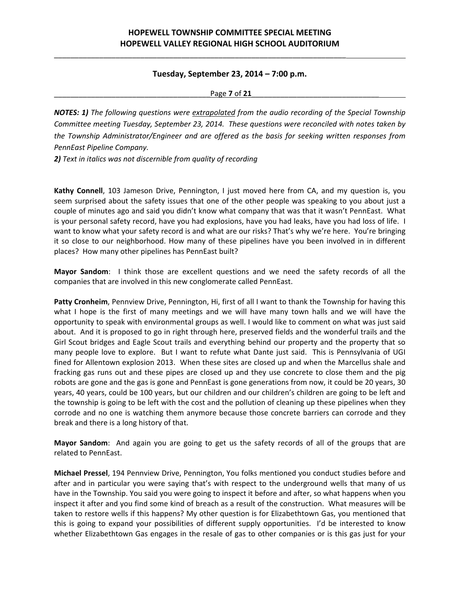\_\_\_\_\_\_\_\_\_\_\_\_\_\_\_\_\_\_\_\_\_\_\_\_\_\_\_\_\_\_\_\_\_\_\_\_\_\_\_\_\_\_\_\_\_\_\_\_\_\_\_\_\_\_\_\_\_\_\_\_\_\_\_\_\_\_\_\_\_\_\_

### **Tuesday, September 23, 2014 – 7:00 p.m.**

\_\_\_\_\_\_\_\_\_\_\_\_\_\_\_\_\_\_\_\_\_\_\_\_\_\_\_\_\_\_\_\_\_\_\_\_\_\_Page **7** of **21**\_\_\_\_\_\_\_\_\_\_\_\_\_\_\_\_\_\_\_\_\_\_\_\_\_\_\_\_\_\_\_

*NOTES: 1) The following questions were extrapolated from the audio recording of the Special Township Committee meeting Tuesday, September 23, 2014. These questions were reconciled with notes taken by the Township Administrator/Engineer and are offered as the basis for seeking written responses from PennEast Pipeline Company.*

*2) Text in italics was not discernible from quality of recording*

**Kathy Connell**, 103 Jameson Drive, Pennington, I just moved here from CA, and my question is, you seem surprised about the safety issues that one of the other people was speaking to you about just a couple of minutes ago and said you didn't know what company that was that it wasn't PennEast. What is your personal safety record, have you had explosions, have you had leaks, have you had loss of life. I want to know what your safety record is and what are our risks? That's why we're here. You're bringing it so close to our neighborhood. How many of these pipelines have you been involved in in different places? How many other pipelines has PennEast built?

**Mayor Sandom**: I think those are excellent questions and we need the safety records of all the companies that are involved in this new conglomerate called PennEast.

**Patty Cronheim**, Pennview Drive, Pennington, Hi, first of all I want to thank the Township for having this what I hope is the first of many meetings and we will have many town halls and we will have the opportunity to speak with environmental groups as well. I would like to comment on what was just said about. And it is proposed to go in right through here, preserved fields and the wonderful trails and the Girl Scout bridges and Eagle Scout trails and everything behind our property and the property that so many people love to explore. But I want to refute what Dante just said. This is Pennsylvania of UGI fined for Allentown explosion 2013. When these sites are closed up and when the Marcellus shale and fracking gas runs out and these pipes are closed up and they use concrete to close them and the pig robots are gone and the gas is gone and PennEast is gone generations from now, it could be 20 years, 30 years, 40 years, could be 100 years, but our children and our children's children are going to be left and the township is going to be left with the cost and the pollution of cleaning up these pipelines when they corrode and no one is watching them anymore because those concrete barriers can corrode and they break and there is a long history of that.

**Mayor Sandom**: And again you are going to get us the safety records of all of the groups that are related to PennEast.

**Michael Pressel**, 194 Pennview Drive, Pennington, You folks mentioned you conduct studies before and after and in particular you were saying that's with respect to the underground wells that many of us have in the Township. You said you were going to inspect it before and after, so what happens when you inspect it after and you find some kind of breach as a result of the construction. What measures will be taken to restore wells if this happens? My other question is for Elizabethtown Gas, you mentioned that this is going to expand your possibilities of different supply opportunities. I'd be interested to know whether Elizabethtown Gas engages in the resale of gas to other companies or is this gas just for your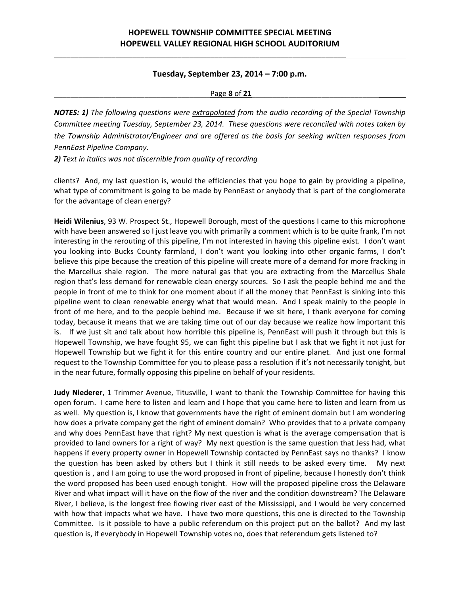\_\_\_\_\_\_\_\_\_\_\_\_\_\_\_\_\_\_\_\_\_\_\_\_\_\_\_\_\_\_\_\_\_\_\_\_\_\_\_\_\_\_\_\_\_\_\_\_\_\_\_\_\_\_\_\_\_\_\_\_\_\_\_\_\_\_\_\_\_\_\_

### **Tuesday, September 23, 2014 – 7:00 p.m.**

#### \_\_\_\_\_\_\_\_\_\_\_\_\_\_\_\_\_\_\_\_\_\_\_\_\_\_\_\_\_\_\_\_\_\_\_\_\_\_Page **8** of **21**\_\_\_\_\_\_\_\_\_\_\_\_\_\_\_\_\_\_\_\_\_\_\_\_\_\_\_\_\_\_\_

*NOTES: 1) The following questions were extrapolated from the audio recording of the Special Township Committee meeting Tuesday, September 23, 2014. These questions were reconciled with notes taken by the Township Administrator/Engineer and are offered as the basis for seeking written responses from PennEast Pipeline Company.*

*2) Text in italics was not discernible from quality of recording*

clients? And, my last question is, would the efficiencies that you hope to gain by providing a pipeline, what type of commitment is going to be made by PennEast or anybody that is part of the conglomerate for the advantage of clean energy?

**Heidi Wilenius**, 93 W. Prospect St., Hopewell Borough, most of the questions I came to this microphone with have been answered so I just leave you with primarily a comment which is to be quite frank, I'm not interesting in the rerouting of this pipeline, I'm not interested in having this pipeline exist. I don't want you looking into Bucks County farmland, I don't want you looking into other organic farms, I don't believe this pipe because the creation of this pipeline will create more of a demand for more fracking in the Marcellus shale region. The more natural gas that you are extracting from the Marcellus Shale region that's less demand for renewable clean energy sources. So I ask the people behind me and the people in front of me to think for one moment about if all the money that PennEast is sinking into this pipeline went to clean renewable energy what that would mean. And I speak mainly to the people in front of me here, and to the people behind me. Because if we sit here, I thank everyone for coming today, because it means that we are taking time out of our day because we realize how important this is. If we just sit and talk about how horrible this pipeline is, PennEast will push it through but this is Hopewell Township, we have fought 95, we can fight this pipeline but I ask that we fight it not just for Hopewell Township but we fight it for this entire country and our entire planet. And just one formal request to the Township Committee for you to please pass a resolution if it's not necessarily tonight, but in the near future, formally opposing this pipeline on behalf of your residents.

**Judy Niederer**, 1 Trimmer Avenue, Titusville, I want to thank the Township Committee for having this open forum. I came here to listen and learn and I hope that you came here to listen and learn from us as well. My question is, I know that governments have the right of eminent domain but I am wondering how does a private company get the right of eminent domain? Who provides that to a private company and why does PennEast have that right? My next question is what is the average compensation that is provided to land owners for a right of way? My next question is the same question that Jess had, what happens if every property owner in Hopewell Township contacted by PennEast says no thanks? I know the question has been asked by others but I think it still needs to be asked every time. My next question is , and I am going to use the word proposed in front of pipeline, because I honestly don't think the word proposed has been used enough tonight. How will the proposed pipeline cross the Delaware River and what impact will it have on the flow of the river and the condition downstream? The Delaware River, I believe, is the longest free flowing river east of the Mississippi, and I would be very concerned with how that impacts what we have. I have two more questions, this one is directed to the Township Committee. Is it possible to have a public referendum on this project put on the ballot? And my last question is, if everybody in Hopewell Township votes no, does that referendum gets listened to?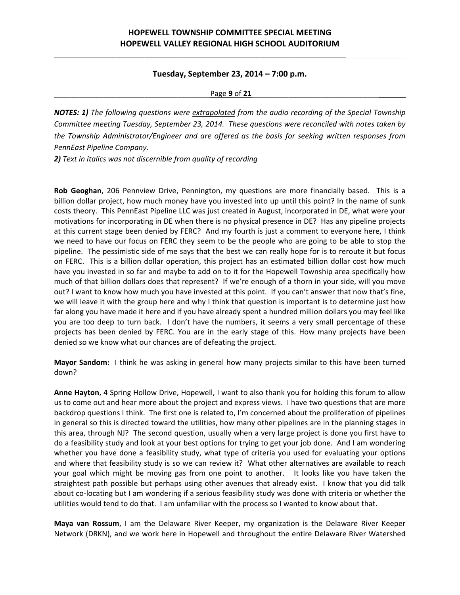\_\_\_\_\_\_\_\_\_\_\_\_\_\_\_\_\_\_\_\_\_\_\_\_\_\_\_\_\_\_\_\_\_\_\_\_\_\_\_\_\_\_\_\_\_\_\_\_\_\_\_\_\_\_\_\_\_\_\_\_\_\_\_\_\_\_\_\_\_\_\_

#### **Tuesday, September 23, 2014 – 7:00 p.m.**

\_\_\_\_\_\_\_\_\_\_\_\_\_\_\_\_\_\_\_\_\_\_\_\_\_\_\_\_\_\_\_\_\_\_\_\_\_\_Page **9** of **21**\_\_\_\_\_\_\_\_\_\_\_\_\_\_\_\_\_\_\_\_\_\_\_\_\_\_\_\_\_\_\_

*NOTES: 1) The following questions were extrapolated from the audio recording of the Special Township Committee meeting Tuesday, September 23, 2014. These questions were reconciled with notes taken by the Township Administrator/Engineer and are offered as the basis for seeking written responses from PennEast Pipeline Company.*

*2) Text in italics was not discernible from quality of recording*

**Rob Geoghan**, 206 Pennview Drive, Pennington, my questions are more financially based. This is a billion dollar project, how much money have you invested into up until this point? In the name of sunk costs theory. This PennEast Pipeline LLC was just created in August, incorporated in DE, what were your motivations for incorporating in DE when there is no physical presence in DE? Has any pipeline projects at this current stage been denied by FERC? And my fourth is just a comment to everyone here, I think we need to have our focus on FERC they seem to be the people who are going to be able to stop the pipeline. The pessimistic side of me says that the best we can really hope for is to reroute it but focus on FERC. This is a billion dollar operation, this project has an estimated billion dollar cost how much have you invested in so far and maybe to add on to it for the Hopewell Township area specifically how much of that billion dollars does that represent? If we're enough of a thorn in your side, will you move out? I want to know how much you have invested at this point. If you can't answer that now that's fine, we will leave it with the group here and why I think that question is important is to determine just how far along you have made it here and if you have already spent a hundred million dollars you may feel like you are too deep to turn back. I don't have the numbers, it seems a very small percentage of these projects has been denied by FERC. You are in the early stage of this. How many projects have been denied so we know what our chances are of defeating the project.

**Mayor Sandom:** I think he was asking in general how many projects similar to this have been turned down?

**Anne Hayton**, 4 Spring Hollow Drive, Hopewell, I want to also thank you for holding this forum to allow us to come out and hear more about the project and express views. I have two questions that are more backdrop questions I think. The first one is related to, I'm concerned about the proliferation of pipelines in general so this is directed toward the utilities, how many other pipelines are in the planning stages in this area, through NJ? The second question, usually when a very large project is done you first have to do a feasibility study and look at your best options for trying to get your job done. And I am wondering whether you have done a feasibility study, what type of criteria you used for evaluating your options and where that feasibility study is so we can review it? What other alternatives are available to reach your goal which might be moving gas from one point to another. It looks like you have taken the straightest path possible but perhaps using other avenues that already exist. I know that you did talk about co-locating but I am wondering if a serious feasibility study was done with criteria or whether the utilities would tend to do that. I am unfamiliar with the process so I wanted to know about that.

**Maya van Rossum**, I am the Delaware River Keeper, my organization is the Delaware River Keeper Network (DRKN), and we work here in Hopewell and throughout the entire Delaware River Watershed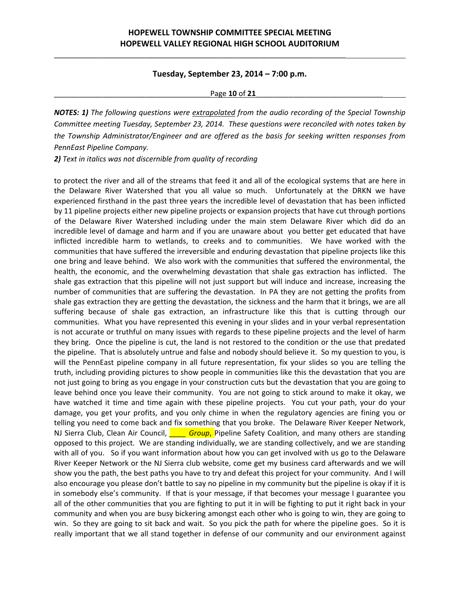\_\_\_\_\_\_\_\_\_\_\_\_\_\_\_\_\_\_\_\_\_\_\_\_\_\_\_\_\_\_\_\_\_\_\_\_\_\_\_\_\_\_\_\_\_\_\_\_\_\_\_\_\_\_\_\_\_\_\_\_\_\_\_\_\_\_\_\_\_\_\_

### **Tuesday, September 23, 2014 – 7:00 p.m.**

#### Page **10** of **21**

*NOTES: 1) The following questions were extrapolated from the audio recording of the Special Township Committee meeting Tuesday, September 23, 2014. These questions were reconciled with notes taken by the Township Administrator/Engineer and are offered as the basis for seeking written responses from PennEast Pipeline Company.*

*2) Text in italics was not discernible from quality of recording*

to protect the river and all of the streams that feed it and all of the ecological systems that are here in the Delaware River Watershed that you all value so much. Unfortunately at the DRKN we have experienced firsthand in the past three years the incredible level of devastation that has been inflicted by 11 pipeline projects either new pipeline projects or expansion projects that have cut through portions of the Delaware River Watershed including under the main stem Delaware River which did do an incredible level of damage and harm and if you are unaware about you better get educated that have inflicted incredible harm to wetlands, to creeks and to communities. We have worked with the communities that have suffered the irreversible and enduring devastation that pipeline projects like this one bring and leave behind. We also work with the communities that suffered the environmental, the health, the economic, and the overwhelming devastation that shale gas extraction has inflicted. The shale gas extraction that this pipeline will not just support but will induce and increase, increasing the number of communities that are suffering the devastation. In PA they are not getting the profits from shale gas extraction they are getting the devastation, the sickness and the harm that it brings, we are all suffering because of shale gas extraction, an infrastructure like this that is cutting through our communities. What you have represented this evening in your slides and in your verbal representation is not accurate or truthful on many issues with regards to these pipeline projects and the level of harm they bring. Once the pipeline is cut, the land is not restored to the condition or the use that predated the pipeline. That is absolutely untrue and false and nobody should believe it. So my question to you, is will the PennEast pipeline company in all future representation, fix your slides so you are telling the truth, including providing pictures to show people in communities like this the devastation that you are not just going to bring as you engage in your construction cuts but the devastation that you are going to leave behind once you leave their community. You are not going to stick around to make it okay, we have watched it time and time again with these pipeline projects. You cut your path, your do your damage, you get your profits, and you only chime in when the regulatory agencies are fining you or telling you need to come back and fix something that you broke. The Delaware River Keeper Network, NJ Sierra Club, Clean Air Council, *\_\_\_\_ Group*, Pipeline Safety Coalition, and many others are standing opposed to this project. We are standing individually, we are standing collectively, and we are standing with all of you. So if you want information about how you can get involved with us go to the Delaware River Keeper Network or the NJ Sierra club website, come get my business card afterwards and we will show you the path, the best paths you have to try and defeat this project for your community. And I will also encourage you please don't battle to say no pipeline in my community but the pipeline is okay if it is in somebody else's community. If that is your message, if that becomes your message I guarantee you all of the other communities that you are fighting to put it in will be fighting to put it right back in your community and when you are busy bickering amongst each other who is going to win, they are going to win. So they are going to sit back and wait. So you pick the path for where the pipeline goes. So it is really important that we all stand together in defense of our community and our environment against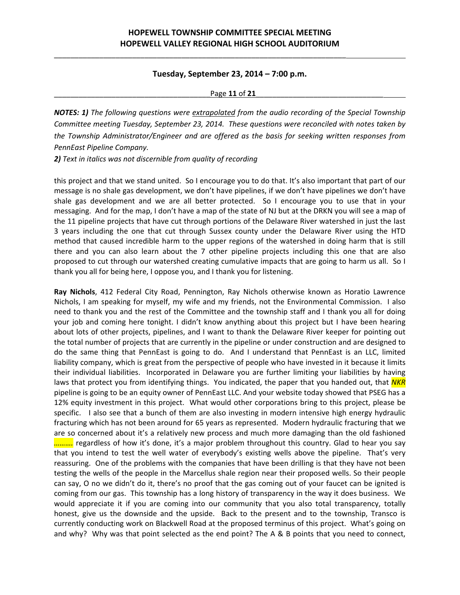\_\_\_\_\_\_\_\_\_\_\_\_\_\_\_\_\_\_\_\_\_\_\_\_\_\_\_\_\_\_\_\_\_\_\_\_\_\_\_\_\_\_\_\_\_\_\_\_\_\_\_\_\_\_\_\_\_\_\_\_\_\_\_\_\_\_\_\_\_\_\_

### **Tuesday, September 23, 2014 – 7:00 p.m.**

#### Page **11** of **21**

*NOTES: 1) The following questions were extrapolated from the audio recording of the Special Township Committee meeting Tuesday, September 23, 2014. These questions were reconciled with notes taken by the Township Administrator/Engineer and are offered as the basis for seeking written responses from PennEast Pipeline Company.*

*2) Text in italics was not discernible from quality of recording*

this project and that we stand united. So I encourage you to do that. It's also important that part of our message is no shale gas development, we don't have pipelines, if we don't have pipelines we don't have shale gas development and we are all better protected. So I encourage you to use that in your messaging. And for the map, I don't have a map of the state of NJ but at the DRKN you will see a map of the 11 pipeline projects that have cut through portions of the Delaware River watershed in just the last 3 years including the one that cut through Sussex county under the Delaware River using the HTD method that caused incredible harm to the upper regions of the watershed in doing harm that is still there and you can also learn about the 7 other pipeline projects including this one that are also proposed to cut through our watershed creating cumulative impacts that are going to harm us all. So I thank you all for being here, I oppose you, and I thank you for listening.

**Ray Nichols**, 412 Federal City Road, Pennington, Ray Nichols otherwise known as Horatio Lawrence Nichols, I am speaking for myself, my wife and my friends, not the Environmental Commission. I also need to thank you and the rest of the Committee and the township staff and I thank you all for doing your job and coming here tonight. I didn't know anything about this project but I have been hearing about lots of other projects, pipelines, and I want to thank the Delaware River keeper for pointing out the total number of projects that are currently in the pipeline or under construction and are designed to do the same thing that PennEast is going to do. And I understand that PennEast is an LLC, limited liability company, which is great from the perspective of people who have invested in it because it limits their individual liabilities. Incorporated in Delaware you are further limiting your liabilities by having laws that protect you from identifying things. You indicated, the paper that you handed out, that *NKR* pipeline is going to be an equity owner of PennEast LLC. And your website today showed that PSEG has a 12% equity investment in this project. What would other corporations bring to this project, please be specific. I also see that a bunch of them are also investing in modern intensive high energy hydraulic fracturing which has not been around for 65 years as represented. Modern hydraulic fracturing that we are so concerned about it's a relatively new process and much more damaging than the old fashioned *……….* regardless of how it's done, it's a major problem throughout this country. Glad to hear you say that you intend to test the well water of everybody's existing wells above the pipeline. That's very reassuring. One of the problems with the companies that have been drilling is that they have not been testing the wells of the people in the Marcellus shale region near their proposed wells. So their people can say, O no we didn't do it, there's no proof that the gas coming out of your faucet can be ignited is coming from our gas. This township has a long history of transparency in the way it does business. We would appreciate it if you are coming into our community that you also total transparency, totally honest, give us the downside and the upside. Back to the present and to the township, Transco is currently conducting work on Blackwell Road at the proposed terminus of this project. What's going on and why? Why was that point selected as the end point? The A & B points that you need to connect,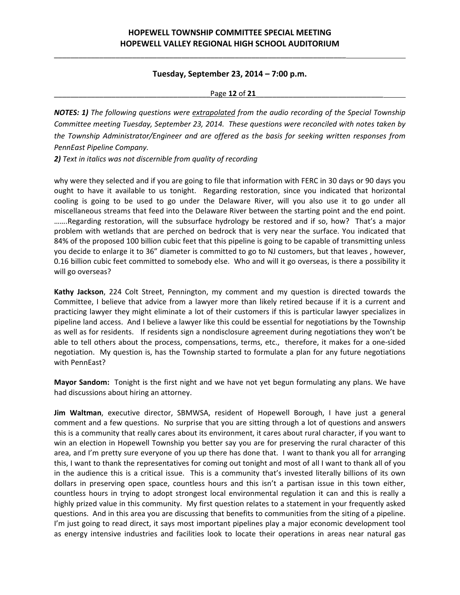\_\_\_\_\_\_\_\_\_\_\_\_\_\_\_\_\_\_\_\_\_\_\_\_\_\_\_\_\_\_\_\_\_\_\_\_\_\_\_\_\_\_\_\_\_\_\_\_\_\_\_\_\_\_\_\_\_\_\_\_\_\_\_\_\_\_\_\_\_\_\_

### **Tuesday, September 23, 2014 – 7:00 p.m.**

\_\_\_\_\_\_\_\_\_\_\_\_\_\_\_\_\_\_\_\_\_\_\_\_\_\_\_\_\_\_\_\_\_\_\_\_\_\_Page **12** of **21**\_\_\_\_\_\_\_\_\_\_\_\_\_\_\_\_\_\_\_\_\_\_\_\_\_\_\_\_\_\_\_

*NOTES: 1) The following questions were extrapolated from the audio recording of the Special Township Committee meeting Tuesday, September 23, 2014. These questions were reconciled with notes taken by the Township Administrator/Engineer and are offered as the basis for seeking written responses from PennEast Pipeline Company.*

*2) Text in italics was not discernible from quality of recording*

why were they selected and if you are going to file that information with FERC in 30 days or 90 days you ought to have it available to us tonight. Regarding restoration, since you indicated that horizontal cooling is going to be used to go under the Delaware River, will you also use it to go under all miscellaneous streams that feed into the Delaware River between the starting point and the end point. …….Regarding restoration, will the subsurface hydrology be restored and if so, how? That's a major problem with wetlands that are perched on bedrock that is very near the surface. You indicated that 84% of the proposed 100 billion cubic feet that this pipeline is going to be capable of transmitting unless you decide to enlarge it to 36" diameter is committed to go to NJ customers, but that leaves , however, 0.16 billion cubic feet committed to somebody else. Who and will it go overseas, is there a possibility it will go overseas?

**Kathy Jackson**, 224 Colt Street, Pennington, my comment and my question is directed towards the Committee, I believe that advice from a lawyer more than likely retired because if it is a current and practicing lawyer they might eliminate a lot of their customers if this is particular lawyer specializes in pipeline land access. And I believe a lawyer like this could be essential for negotiations by the Township as well as for residents. If residents sign a nondisclosure agreement during negotiations they won't be able to tell others about the process, compensations, terms, etc., therefore, it makes for a one-sided negotiation. My question is, has the Township started to formulate a plan for any future negotiations with PennEast?

**Mayor Sandom:** Tonight is the first night and we have not yet begun formulating any plans. We have had discussions about hiring an attorney.

**Jim Waltman**, executive director, SBMWSA, resident of Hopewell Borough, I have just a general comment and a few questions. No surprise that you are sitting through a lot of questions and answers this is a community that really cares about its environment, it cares about rural character, if you want to win an election in Hopewell Township you better say you are for preserving the rural character of this area, and I'm pretty sure everyone of you up there has done that. I want to thank you all for arranging this, I want to thank the representatives for coming out tonight and most of all I want to thank all of you in the audience this is a critical issue. This is a community that's invested literally billions of its own dollars in preserving open space, countless hours and this isn't a partisan issue in this town either, countless hours in trying to adopt strongest local environmental regulation it can and this is really a highly prized value in this community. My first question relates to a statement in your frequently asked questions. And in this area you are discussing that benefits to communities from the siting of a pipeline. I'm just going to read direct, it says most important pipelines play a major economic development tool as energy intensive industries and facilities look to locate their operations in areas near natural gas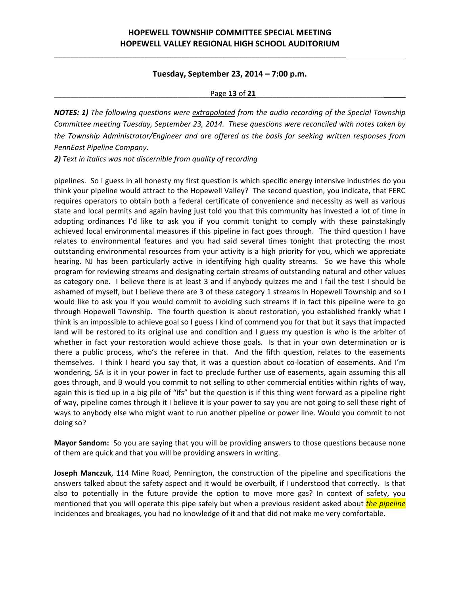\_\_\_\_\_\_\_\_\_\_\_\_\_\_\_\_\_\_\_\_\_\_\_\_\_\_\_\_\_\_\_\_\_\_\_\_\_\_\_\_\_\_\_\_\_\_\_\_\_\_\_\_\_\_\_\_\_\_\_\_\_\_\_\_\_\_\_\_\_\_\_

### **Tuesday, September 23, 2014 – 7:00 p.m.**

#### Page **13** of **21**

*NOTES: 1) The following questions were extrapolated from the audio recording of the Special Township Committee meeting Tuesday, September 23, 2014. These questions were reconciled with notes taken by the Township Administrator/Engineer and are offered as the basis for seeking written responses from PennEast Pipeline Company.*

*2) Text in italics was not discernible from quality of recording*

pipelines. So I guess in all honesty my first question is which specific energy intensive industries do you think your pipeline would attract to the Hopewell Valley? The second question, you indicate, that FERC requires operators to obtain both a federal certificate of convenience and necessity as well as various state and local permits and again having just told you that this community has invested a lot of time in adopting ordinances I'd like to ask you if you commit tonight to comply with these painstakingly achieved local environmental measures if this pipeline in fact goes through. The third question I have relates to environmental features and you had said several times tonight that protecting the most outstanding environmental resources from your activity is a high priority for you, which we appreciate hearing. NJ has been particularly active in identifying high quality streams. So we have this whole program for reviewing streams and designating certain streams of outstanding natural and other values as category one. I believe there is at least 3 and if anybody quizzes me and I fail the test I should be ashamed of myself, but I believe there are 3 of these category 1 streams in Hopewell Township and so I would like to ask you if you would commit to avoiding such streams if in fact this pipeline were to go through Hopewell Township. The fourth question is about restoration, you established frankly what I think is an impossible to achieve goal so I guess I kind of commend you for that but it says that impacted land will be restored to its original use and condition and I guess my question is who is the arbiter of whether in fact your restoration would achieve those goals. Is that in your own determination or is there a public process, who's the referee in that. And the fifth question, relates to the easements themselves. I think I heard you say that, it was a question about co-location of easements. And I'm wondering, 5A is it in your power in fact to preclude further use of easements, again assuming this all goes through, and B would you commit to not selling to other commercial entities within rights of way, again this is tied up in a big pile of "ifs" but the question is if this thing went forward as a pipeline right of way, pipeline comes through it I believe it is your power to say you are not going to sell these right of ways to anybody else who might want to run another pipeline or power line. Would you commit to not doing so?

**Mayor Sandom:** So you are saying that you will be providing answers to those questions because none of them are quick and that you will be providing answers in writing.

**Joseph Manczuk**, 114 Mine Road, Pennington, the construction of the pipeline and specifications the answers talked about the safety aspect and it would be overbuilt, if I understood that correctly. Is that also to potentially in the future provide the option to move more gas? In context of safety, you mentioned that you will operate this pipe safely but when a previous resident asked about *the pipeline* incidences and breakages, you had no knowledge of it and that did not make me very comfortable.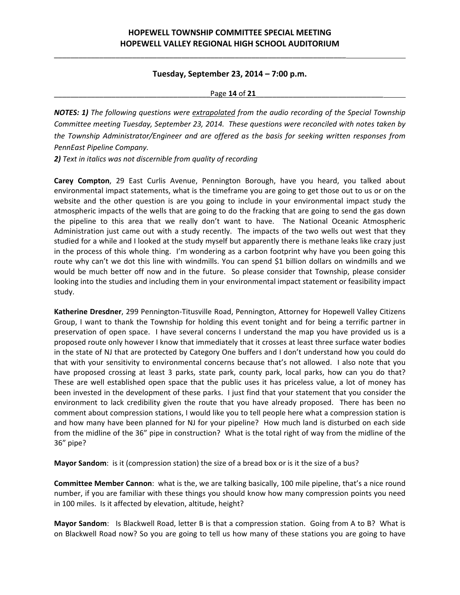\_\_\_\_\_\_\_\_\_\_\_\_\_\_\_\_\_\_\_\_\_\_\_\_\_\_\_\_\_\_\_\_\_\_\_\_\_\_\_\_\_\_\_\_\_\_\_\_\_\_\_\_\_\_\_\_\_\_\_\_\_\_\_\_\_\_\_\_\_\_\_

### **Tuesday, September 23, 2014 – 7:00 p.m.**

\_\_\_\_\_\_\_\_\_\_\_\_\_\_\_\_\_\_\_\_\_\_\_\_\_\_\_\_\_\_\_\_\_\_\_\_\_\_Page **14** of **21**\_\_\_\_\_\_\_\_\_\_\_\_\_\_\_\_\_\_\_\_\_\_\_\_\_\_\_\_\_\_\_

*NOTES: 1) The following questions were extrapolated from the audio recording of the Special Township Committee meeting Tuesday, September 23, 2014. These questions were reconciled with notes taken by the Township Administrator/Engineer and are offered as the basis for seeking written responses from PennEast Pipeline Company.*

*2) Text in italics was not discernible from quality of recording*

**Carey Compton**, 29 East Curlis Avenue, Pennington Borough, have you heard, you talked about environmental impact statements, what is the timeframe you are going to get those out to us or on the website and the other question is are you going to include in your environmental impact study the atmospheric impacts of the wells that are going to do the fracking that are going to send the gas down the pipeline to this area that we really don't want to have. The National Oceanic Atmospheric Administration just came out with a study recently. The impacts of the two wells out west that they studied for a while and I looked at the study myself but apparently there is methane leaks like crazy just in the process of this whole thing. I'm wondering as a carbon footprint why have you been going this route why can't we dot this line with windmills. You can spend \$1 billion dollars on windmills and we would be much better off now and in the future. So please consider that Township, please consider looking into the studies and including them in your environmental impact statement or feasibility impact study.

**Katherine Dresdner**, 299 Pennington‐Titusville Road, Pennington, Attorney for Hopewell Valley Citizens Group, I want to thank the Township for holding this event tonight and for being a terrific partner in preservation of open space. I have several concerns I understand the map you have provided us is a proposed route only however I know that immediately that it crosses at least three surface water bodies in the state of NJ that are protected by Category One buffers and I don't understand how you could do that with your sensitivity to environmental concerns because that's not allowed. I also note that you have proposed crossing at least 3 parks, state park, county park, local parks, how can you do that? These are well established open space that the public uses it has priceless value, a lot of money has been invested in the development of these parks. I just find that your statement that you consider the environment to lack credibility given the route that you have already proposed. There has been no comment about compression stations, I would like you to tell people here what a compression station is and how many have been planned for NJ for your pipeline? How much land is disturbed on each side from the midline of the 36" pipe in construction? What is the total right of way from the midline of the 36" pipe?

**Mayor Sandom**: is it (compression station) the size of a bread box or is it the size of a bus?

**Committee Member Cannon**: what is the, we are talking basically, 100 mile pipeline, that's a nice round number, if you are familiar with these things you should know how many compression points you need in 100 miles. Is it affected by elevation, altitude, height?

**Mayor Sandom**: Is Blackwell Road, letter B is that a compression station. Going from A to B? What is on Blackwell Road now? So you are going to tell us how many of these stations you are going to have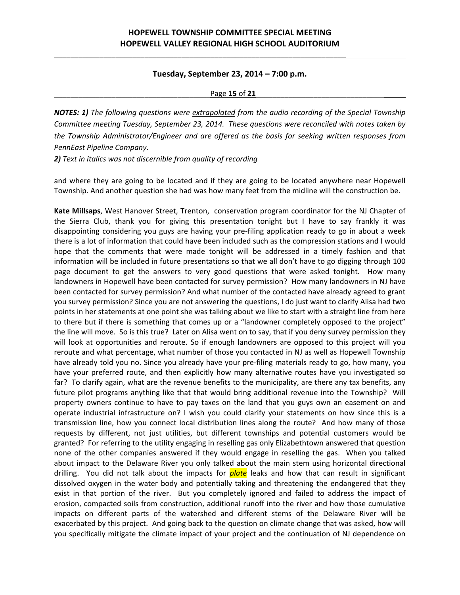\_\_\_\_\_\_\_\_\_\_\_\_\_\_\_\_\_\_\_\_\_\_\_\_\_\_\_\_\_\_\_\_\_\_\_\_\_\_\_\_\_\_\_\_\_\_\_\_\_\_\_\_\_\_\_\_\_\_\_\_\_\_\_\_\_\_\_\_\_\_\_

### **Tuesday, September 23, 2014 – 7:00 p.m.**

#### \_\_\_\_\_\_\_\_\_\_\_\_\_\_\_\_\_\_\_\_\_\_\_\_\_\_\_\_\_\_\_\_\_\_\_\_\_\_Page **15** of **21**\_\_\_\_\_\_\_\_\_\_\_\_\_\_\_\_\_\_\_\_\_\_\_\_\_\_\_\_\_\_\_

*NOTES: 1) The following questions were extrapolated from the audio recording of the Special Township Committee meeting Tuesday, September 23, 2014. These questions were reconciled with notes taken by the Township Administrator/Engineer and are offered as the basis for seeking written responses from PennEast Pipeline Company.*

*2) Text in italics was not discernible from quality of recording*

and where they are going to be located and if they are going to be located anywhere near Hopewell Township. And another question she had was how many feet from the midline will the construction be.

**Kate Millsaps**, West Hanover Street, Trenton, conservation program coordinator for the NJ Chapter of the Sierra Club, thank you for giving this presentation tonight but I have to say frankly it was disappointing considering you guys are having your pre‐filing application ready to go in about a week there is a lot of information that could have been included such as the compression stations and I would hope that the comments that were made tonight will be addressed in a timely fashion and that information will be included in future presentations so that we all don't have to go digging through 100 page document to get the answers to very good questions that were asked tonight. How many landowners in Hopewell have been contacted for survey permission? How many landowners in NJ have been contacted for survey permission? And what number of the contacted have already agreed to grant you survey permission? Since you are not answering the questions, I do just want to clarify Alisa had two points in her statements at one point she was talking about we like to start with a straight line from here to there but if there is something that comes up or a "landowner completely opposed to the project" the line will move. So is this true? Later on Alisa went on to say, that if you deny survey permission they will look at opportunities and reroute. So if enough landowners are opposed to this project will you reroute and what percentage, what number of those you contacted in NJ as well as Hopewell Township have already told you no. Since you already have your pre-filing materials ready to go, how many, you have your preferred route, and then explicitly how many alternative routes have you investigated so far? To clarify again, what are the revenue benefits to the municipality, are there any tax benefits, any future pilot programs anything like that that would bring additional revenue into the Township? Will property owners continue to have to pay taxes on the land that you guys own an easement on and operate industrial infrastructure on? I wish you could clarify your statements on how since this is a transmission line, how you connect local distribution lines along the route? And how many of those requests by different, not just utilities, but different townships and potential customers would be granted? For referring to the utility engaging in reselling gas only Elizabethtown answered that question none of the other companies answered if they would engage in reselling the gas. When you talked about impact to the Delaware River you only talked about the main stem using horizontal directional drilling. You did not talk about the impacts for *plate* leaks and how that can result in significant dissolved oxygen in the water body and potentially taking and threatening the endangered that they exist in that portion of the river. But you completely ignored and failed to address the impact of erosion, compacted soils from construction, additional runoff into the river and how those cumulative impacts on different parts of the watershed and different stems of the Delaware River will be exacerbated by this project. And going back to the question on climate change that was asked, how will you specifically mitigate the climate impact of your project and the continuation of NJ dependence on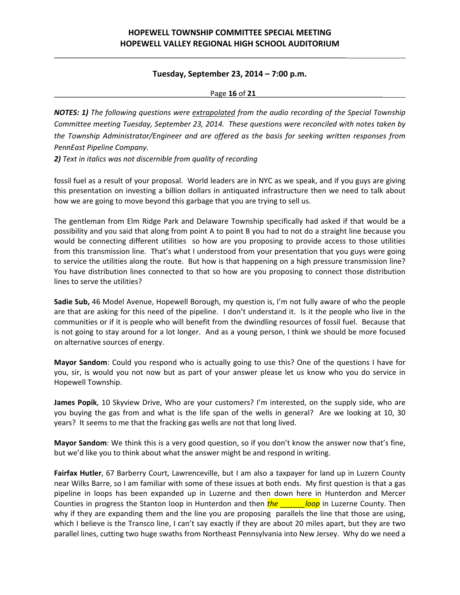\_\_\_\_\_\_\_\_\_\_\_\_\_\_\_\_\_\_\_\_\_\_\_\_\_\_\_\_\_\_\_\_\_\_\_\_\_\_\_\_\_\_\_\_\_\_\_\_\_\_\_\_\_\_\_\_\_\_\_\_\_\_\_\_\_\_\_\_\_\_\_

### **Tuesday, September 23, 2014 – 7:00 p.m.**

\_\_\_\_\_\_\_\_\_\_\_\_\_\_\_\_\_\_\_\_\_\_\_\_\_\_\_\_\_\_\_\_\_\_\_\_\_\_Page **16** of **21**\_\_\_\_\_\_\_\_\_\_\_\_\_\_\_\_\_\_\_\_\_\_\_\_\_\_\_\_\_\_\_

*NOTES: 1) The following questions were extrapolated from the audio recording of the Special Township Committee meeting Tuesday, September 23, 2014. These questions were reconciled with notes taken by the Township Administrator/Engineer and are offered as the basis for seeking written responses from PennEast Pipeline Company.*

*2) Text in italics was not discernible from quality of recording*

fossil fuel as a result of your proposal. World leaders are in NYC as we speak, and if you guys are giving this presentation on investing a billion dollars in antiquated infrastructure then we need to talk about how we are going to move beyond this garbage that you are trying to sell us.

The gentleman from Elm Ridge Park and Delaware Township specifically had asked if that would be a possibility and you said that along from point A to point B you had to not do a straight line because you would be connecting different utilities so how are you proposing to provide access to those utilities from this transmission line. That's what I understood from your presentation that you guys were going to service the utilities along the route. But how is that happening on a high pressure transmission line? You have distribution lines connected to that so how are you proposing to connect those distribution lines to serve the utilities?

**Sadie Sub,** 46 Model Avenue, Hopewell Borough, my question is, I'm not fully aware of who the people are that are asking for this need of the pipeline. I don't understand it. Is it the people who live in the communities or if it is people who will benefit from the dwindling resources of fossil fuel. Because that is not going to stay around for a lot longer. And as a young person, I think we should be more focused on alternative sources of energy.

**Mayor Sandom**: Could you respond who is actually going to use this? One of the questions I have for you, sir, is would you not now but as part of your answer please let us know who you do service in Hopewell Township.

**James Popik**, 10 Skyview Drive, Who are your customers? I'm interested, on the supply side, who are you buying the gas from and what is the life span of the wells in general? Are we looking at 10, 30 years? It seems to me that the fracking gas wells are not that long lived.

**Mayor Sandom**: We think this is a very good question, so if you don't know the answer now that's fine, but we'd like you to think about what the answer might be and respond in writing.

**Fairfax Hutler**, 67 Barberry Court, Lawrenceville, but I am also a taxpayer for land up in Luzern County near Wilks Barre, so I am familiar with some of these issues at both ends. My first question is that a gas pipeline in loops has been expanded up in Luzerne and then down here in Hunterdon and Mercer Counties in progress the Stanton loop in Hunterdon and then **the** *loop* in Luzerne County. Then why if they are expanding them and the line you are proposing parallels the line that those are using, which I believe is the Transco line, I can't say exactly if they are about 20 miles apart, but they are two parallel lines, cutting two huge swaths from Northeast Pennsylvania into New Jersey. Why do we need a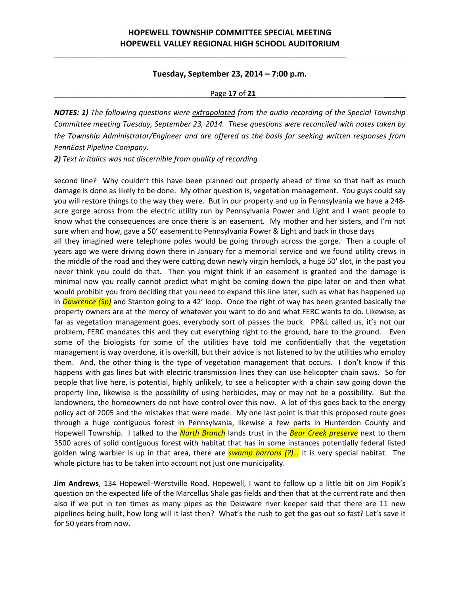\_\_\_\_\_\_\_\_\_\_\_\_\_\_\_\_\_\_\_\_\_\_\_\_\_\_\_\_\_\_\_\_\_\_\_\_\_\_\_\_\_\_\_\_\_\_\_\_\_\_\_\_\_\_\_\_\_\_\_\_\_\_\_\_\_\_\_\_\_\_\_

#### **Tuesday, September 23, 2014 – 7:00 p.m.**

#### \_\_\_\_\_\_\_\_\_\_\_\_\_\_\_\_\_\_\_\_\_\_\_\_\_\_\_\_\_\_\_\_\_\_\_\_\_\_Page **17** of **21**\_\_\_\_\_\_\_\_\_\_\_\_\_\_\_\_\_\_\_\_\_\_\_\_\_\_\_\_\_\_\_

*NOTES: 1) The following questions were extrapolated from the audio recording of the Special Township Committee meeting Tuesday, September 23, 2014. These questions were reconciled with notes taken by the Township Administrator/Engineer and are offered as the basis for seeking written responses from PennEast Pipeline Company.*

*2) Text in italics was not discernible from quality of recording*

second line? Why couldn't this have been planned out properly ahead of time so that half as much damage is done as likely to be done. My other question is, vegetation management. You guys could say you will restore things to the way they were. But in our property and up in Pennsylvania we have a 248‐ acre gorge across from the electric utility run by Pennsylvania Power and Light and I want people to know what the consequences are once there is an easement. My mother and her sisters, and I'm not sure when and how, gave a 50' easement to Pennsylvania Power & Light and back in those days all they imagined were telephone poles would be going through across the gorge. Then a couple of years ago we were driving down there in January for a memorial service and we found utility crews in the middle of the road and they were cutting down newly virgin hemlock, a huge 50' slot, in the past you never think you could do that. Then you might think if an easement is granted and the damage is minimal now you really cannot predict what might be coming down the pipe later on and then what would prohibit you from deciding that you need to expand this line later, such as what has happened up in *Dawrence (Sp)* and Stanton going to a 42' loop. Once the right of way has been granted basically the property owners are at the mercy of whatever you want to do and what FERC wants to do. Likewise, as far as vegetation management goes, everybody sort of passes the buck. PP&L called us, it's not our

problem, FERC mandates this and they cut everything right to the ground, bare to the ground. Even some of the biologists for some of the utilities have told me confidentially that the vegetation management is way overdone, it is overkill, but their advice is not listened to by the utilities who employ them. And, the other thing is the type of vegetation management that occurs. I don't know if this happens with gas lines but with electric transmission lines they can use helicopter chain saws. So for people that live here, is potential, highly unlikely, to see a helicopter with a chain saw going down the property line, likewise is the possibility of using herbicides, may or may not be a possibility. But the landowners, the homeowners do not have control over this now. A lot of this goes back to the energy policy act of 2005 and the mistakes that were made. My one last point is that this proposed route goes through a huge contiguous forest in Pennsylvania, likewise a few parts in Hunterdon County and Hopewell Township. I talked to the *North Branch* lands trust in the *Bear Creek preserve* next to them 3500 acres of solid contiguous forest with habitat that has in some instances potentially federal listed golden wing warbler is up in that area, there are *swamp barrons (?)…* it is very special habitat. The whole picture has to be taken into account not just one municipality.

**Jim Andrews**, 134 Hopewell‐Werstville Road, Hopewell, I want to follow up a little bit on Jim Popik's question on the expected life of the Marcellus Shale gas fields and then that at the current rate and then also if we put in ten times as many pipes as the Delaware river keeper said that there are 11 new pipelines being built, how long will it last then? What's the rush to get the gas out so fast? Let's save it for 50 years from now.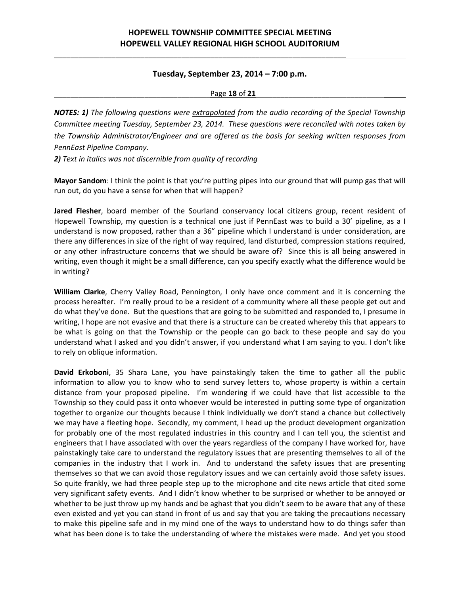\_\_\_\_\_\_\_\_\_\_\_\_\_\_\_\_\_\_\_\_\_\_\_\_\_\_\_\_\_\_\_\_\_\_\_\_\_\_\_\_\_\_\_\_\_\_\_\_\_\_\_\_\_\_\_\_\_\_\_\_\_\_\_\_\_\_\_\_\_\_\_

### **Tuesday, September 23, 2014 – 7:00 p.m.**

\_\_\_\_\_\_\_\_\_\_\_\_\_\_\_\_\_\_\_\_\_\_\_\_\_\_\_\_\_\_\_\_\_\_\_\_\_\_Page **18** of **21**\_\_\_\_\_\_\_\_\_\_\_\_\_\_\_\_\_\_\_\_\_\_\_\_\_\_\_\_\_\_\_

*NOTES: 1) The following questions were extrapolated from the audio recording of the Special Township Committee meeting Tuesday, September 23, 2014. These questions were reconciled with notes taken by the Township Administrator/Engineer and are offered as the basis for seeking written responses from PennEast Pipeline Company.*

*2) Text in italics was not discernible from quality of recording*

**Mayor Sandom**: I think the point is that you're putting pipes into our ground that will pump gas that will run out, do you have a sense for when that will happen?

**Jared Flesher**, board member of the Sourland conservancy local citizens group, recent resident of Hopewell Township, my question is a technical one just if PennEast was to build a 30' pipeline, as a I understand is now proposed, rather than a 36" pipeline which I understand is under consideration, are there any differences in size of the right of way required, land disturbed, compression stations required, or any other infrastructure concerns that we should be aware of? Since this is all being answered in writing, even though it might be a small difference, can you specify exactly what the difference would be in writing?

**William Clarke**, Cherry Valley Road, Pennington, I only have once comment and it is concerning the process hereafter. I'm really proud to be a resident of a community where all these people get out and do what they've done. But the questions that are going to be submitted and responded to, I presume in writing, I hope are not evasive and that there is a structure can be created whereby this that appears to be what is going on that the Township or the people can go back to these people and say do you understand what I asked and you didn't answer, if you understand what I am saying to you. I don't like to rely on oblique information.

**David Erkoboni**, 35 Shara Lane, you have painstakingly taken the time to gather all the public information to allow you to know who to send survey letters to, whose property is within a certain distance from your proposed pipeline. I'm wondering if we could have that list accessible to the Township so they could pass it onto whoever would be interested in putting some type of organization together to organize our thoughts because I think individually we don't stand a chance but collectively we may have a fleeting hope. Secondly, my comment, I head up the product development organization for probably one of the most regulated industries in this country and I can tell you, the scientist and engineers that I have associated with over the years regardless of the company I have worked for, have painstakingly take care to understand the regulatory issues that are presenting themselves to all of the companies in the industry that I work in. And to understand the safety issues that are presenting themselves so that we can avoid those regulatory issues and we can certainly avoid those safety issues. So quite frankly, we had three people step up to the microphone and cite news article that cited some very significant safety events. And I didn't know whether to be surprised or whether to be annoyed or whether to be just throw up my hands and be aghast that you didn't seem to be aware that any of these even existed and yet you can stand in front of us and say that you are taking the precautions necessary to make this pipeline safe and in my mind one of the ways to understand how to do things safer than what has been done is to take the understanding of where the mistakes were made. And yet you stood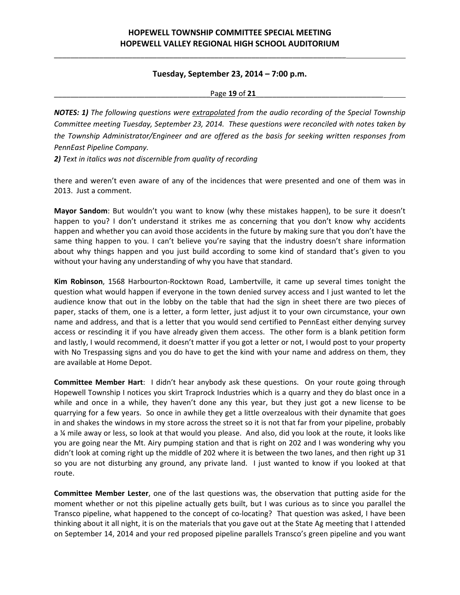\_\_\_\_\_\_\_\_\_\_\_\_\_\_\_\_\_\_\_\_\_\_\_\_\_\_\_\_\_\_\_\_\_\_\_\_\_\_\_\_\_\_\_\_\_\_\_\_\_\_\_\_\_\_\_\_\_\_\_\_\_\_\_\_\_\_\_\_\_\_\_

### **Tuesday, September 23, 2014 – 7:00 p.m.**

\_\_\_\_\_\_\_\_\_\_\_\_\_\_\_\_\_\_\_\_\_\_\_\_\_\_\_\_\_\_\_\_\_\_\_\_\_\_Page **19** of **21**\_\_\_\_\_\_\_\_\_\_\_\_\_\_\_\_\_\_\_\_\_\_\_\_\_\_\_\_\_\_\_

*NOTES: 1) The following questions were extrapolated from the audio recording of the Special Township Committee meeting Tuesday, September 23, 2014. These questions were reconciled with notes taken by the Township Administrator/Engineer and are offered as the basis for seeking written responses from PennEast Pipeline Company.*

*2) Text in italics was not discernible from quality of recording*

there and weren't even aware of any of the incidences that were presented and one of them was in 2013. Just a comment.

**Mayor Sandom**: But wouldn't you want to know (why these mistakes happen), to be sure it doesn't happen to you? I don't understand it strikes me as concerning that you don't know why accidents happen and whether you can avoid those accidents in the future by making sure that you don't have the same thing happen to you. I can't believe you're saying that the industry doesn't share information about why things happen and you just build according to some kind of standard that's given to you without your having any understanding of why you have that standard.

**Kim Robinson**, 1568 Harbourton‐Rocktown Road, Lambertville, it came up several times tonight the question what would happen if everyone in the town denied survey access and I just wanted to let the audience know that out in the lobby on the table that had the sign in sheet there are two pieces of paper, stacks of them, one is a letter, a form letter, just adjust it to your own circumstance, your own name and address, and that is a letter that you would send certified to PennEast either denying survey access or rescinding it if you have already given them access. The other form is a blank petition form and lastly, I would recommend, it doesn't matter if you got a letter or not, I would post to your property with No Trespassing signs and you do have to get the kind with your name and address on them, they are available at Home Depot.

**Committee Member Hart**: I didn't hear anybody ask these questions. On your route going through Hopewell Township I notices you skirt Traprock Industries which is a quarry and they do blast once in a while and once in a while, they haven't done any this year, but they just got a new license to be quarrying for a few years. So once in awhile they get a little overzealous with their dynamite that goes in and shakes the windows in my store across the street so it is not that far from your pipeline, probably a ¼ mile away or less, so look at that would you please. And also, did you look at the route, it looks like you are going near the Mt. Airy pumping station and that is right on 202 and I was wondering why you didn't look at coming right up the middle of 202 where it is between the two lanes, and then right up 31 so you are not disturbing any ground, any private land. I just wanted to know if you looked at that route.

**Committee Member Lester**, one of the last questions was, the observation that putting aside for the moment whether or not this pipeline actually gets built, but I was curious as to since you parallel the Transco pipeline, what happened to the concept of co-locating? That question was asked, I have been thinking about it all night, it is on the materials that you gave out at the State Ag meeting that I attended on September 14, 2014 and your red proposed pipeline parallels Transco's green pipeline and you want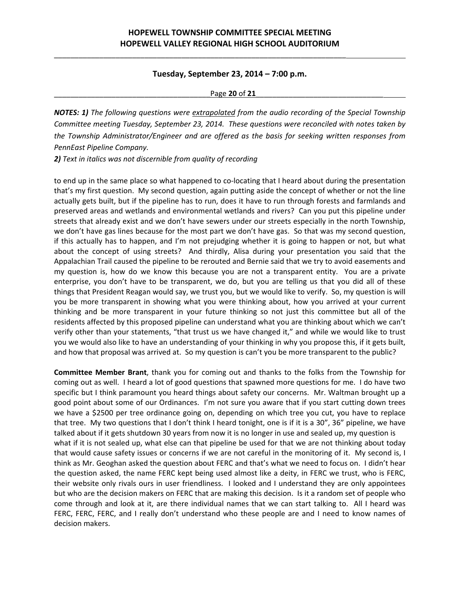\_\_\_\_\_\_\_\_\_\_\_\_\_\_\_\_\_\_\_\_\_\_\_\_\_\_\_\_\_\_\_\_\_\_\_\_\_\_\_\_\_\_\_\_\_\_\_\_\_\_\_\_\_\_\_\_\_\_\_\_\_\_\_\_\_\_\_\_\_\_\_

### **Tuesday, September 23, 2014 – 7:00 p.m.**

\_\_\_\_\_\_\_\_\_\_\_\_\_\_\_\_\_\_\_\_\_\_\_\_\_\_\_\_\_\_\_\_\_\_\_\_\_\_Page **20** of **21**\_\_\_\_\_\_\_\_\_\_\_\_\_\_\_\_\_\_\_\_\_\_\_\_\_\_\_\_\_\_\_

*NOTES: 1) The following questions were extrapolated from the audio recording of the Special Township Committee meeting Tuesday, September 23, 2014. These questions were reconciled with notes taken by the Township Administrator/Engineer and are offered as the basis for seeking written responses from PennEast Pipeline Company.*

*2) Text in italics was not discernible from quality of recording*

to end up in the same place so what happened to co-locating that I heard about during the presentation that's my first question. My second question, again putting aside the concept of whether or not the line actually gets built, but if the pipeline has to run, does it have to run through forests and farmlands and preserved areas and wetlands and environmental wetlands and rivers? Can you put this pipeline under streets that already exist and we don't have sewers under our streets especially in the north Township, we don't have gas lines because for the most part we don't have gas. So that was my second question, if this actually has to happen, and I'm not prejudging whether it is going to happen or not, but what about the concept of using streets? And thirdly, Alisa during your presentation you said that the Appalachian Trail caused the pipeline to be rerouted and Bernie said that we try to avoid easements and my question is, how do we know this because you are not a transparent entity. You are a private enterprise, you don't have to be transparent, we do, but you are telling us that you did all of these things that President Reagan would say, we trust you, but we would like to verify. So, my question is will you be more transparent in showing what you were thinking about, how you arrived at your current thinking and be more transparent in your future thinking so not just this committee but all of the residents affected by this proposed pipeline can understand what you are thinking about which we can't verify other than your statements, "that trust us we have changed it," and while we would like to trust you we would also like to have an understanding of your thinking in why you propose this, if it gets built, and how that proposal was arrived at. So my question is can't you be more transparent to the public?

**Committee Member Brant**, thank you for coming out and thanks to the folks from the Township for coming out as well. I heard a lot of good questions that spawned more questions for me. I do have two specific but I think paramount you heard things about safety our concerns. Mr. Waltman brought up a good point about some of our Ordinances. I'm not sure you aware that if you start cutting down trees we have a \$2500 per tree ordinance going on, depending on which tree you cut, you have to replace that tree. My two questions that I don't think I heard tonight, one is if it is a 30", 36" pipeline, we have talked about if it gets shutdown 30 years from now it is no longer in use and sealed up, my question is what if it is not sealed up, what else can that pipeline be used for that we are not thinking about today that would cause safety issues or concerns if we are not careful in the monitoring of it. My second is, I think as Mr. Geoghan asked the question about FERC and that's what we need to focus on. I didn't hear the question asked, the name FERC kept being used almost like a deity, in FERC we trust, who is FERC, their website only rivals ours in user friendliness. I looked and I understand they are only appointees but who are the decision makers on FERC that are making this decision. Is it a random set of people who come through and look at it, are there individual names that we can start talking to. All I heard was FERC, FERC, FERC, and I really don't understand who these people are and I need to know names of decision makers.